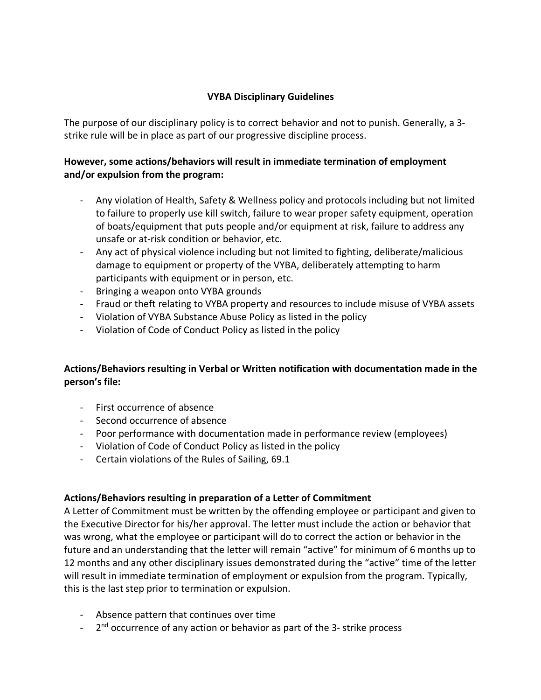## **VYBA Disciplinary Guidelines**

The purpose of our disciplinary policy is to correct behavior and not to punish. Generally, a 3 strike rule will be in place as part of our progressive discipline process.

## **However, some actions/behaviors will result in immediate termination of employment and/or expulsion from the program:**

- Any violation of Health, Safety & Wellness policy and protocols including but not limited to failure to properly use kill switch, failure to wear proper safety equipment, operation of boats/equipment that puts people and/or equipment at risk, failure to address any unsafe or at-risk condition or behavior, etc.
- Any act of physical violence including but not limited to fighting, deliberate/malicious damage to equipment or property of the VYBA, deliberately attempting to harm participants with equipment or in person, etc.
- Bringing a weapon onto VYBA grounds
- Fraud or theft relating to VYBA property and resources to include misuse of VYBA assets
- Violation of VYBA Substance Abuse Policy as listed in the policy
- Violation of Code of Conduct Policy as listed in the policy

## **Actions/Behaviors resulting in Verbal or Written notification with documentation made in the person's file:**

- First occurrence of absence
- Second occurrence of absence
- Poor performance with documentation made in performance review (employees)
- Violation of Code of Conduct Policy as listed in the policy
- Certain violations of the Rules of Sailing, 69.1

## **Actions/Behaviors resulting in preparation of a Letter of Commitment**

A Letter of Commitment must be written by the offending employee or participant and given to the Executive Director for his/her approval. The letter must include the action or behavior that was wrong, what the employee or participant will do to correct the action or behavior in the future and an understanding that the letter will remain "active" for minimum of 6 months up to 12 months and any other disciplinary issues demonstrated during the "active" time of the letter will result in immediate termination of employment or expulsion from the program. Typically, this is the last step prior to termination or expulsion.

- Absence pattern that continues over time
- $-$  2<sup>nd</sup> occurrence of any action or behavior as part of the 3-strike process